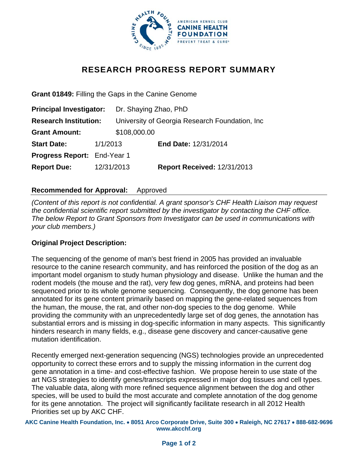

# **RESEARCH PROGRESS REPORT SUMMARY**

**Grant 01849:** Filling the Gaps in the Canine Genome

| <b>Principal Investigator:</b>     |            | Dr. Shaying Zhao, PhD                           |                                    |
|------------------------------------|------------|-------------------------------------------------|------------------------------------|
| <b>Research Institution:</b>       |            | University of Georgia Research Foundation, Inc. |                                    |
| <b>Grant Amount:</b>               |            | \$108,000.00                                    |                                    |
| <b>Start Date:</b>                 | 1/1/2013   |                                                 | End Date: 12/31/2014               |
| <b>Progress Report: End-Year 1</b> |            |                                                 |                                    |
| <b>Report Due:</b>                 | 12/31/2013 |                                                 | <b>Report Received: 12/31/2013</b> |

# **Recommended for Approval:** Approved

*(Content of this report is not confidential. A grant sponsor's CHF Health Liaison may request the confidential scientific report submitted by the investigator by contacting the CHF office. The below Report to Grant Sponsors from Investigator can be used in communications with your club members.)* 

#### **Original Project Description:**

The sequencing of the genome of man's best friend in 2005 has provided an invaluable resource to the canine research community, and has reinforced the position of the dog as an important model organism to study human physiology and disease. Unlike the human and the rodent models (the mouse and the rat), very few dog genes, mRNA, and proteins had been sequenced prior to its whole genome sequencing. Consequently, the dog genome has been annotated for its gene content primarily based on mapping the gene-related sequences from the human, the mouse, the rat, and other non-dog species to the dog genome. While providing the community with an unprecedentedly large set of dog genes, the annotation has substantial errors and is missing in dog-specific information in many aspects. This significantly hinders research in many fields, e.g., disease gene discovery and cancer-causative gene mutation identification.

Recently emerged next-generation sequencing (NGS) technologies provide an unprecedented opportunity to correct these errors and to supply the missing information in the current dog gene annotation in a time- and cost-effective fashion. We propose herein to use state of the art NGS strategies to identify genes/transcripts expressed in major dog tissues and cell types. The valuable data, along with more refined sequence alignment between the dog and other species, will be used to build the most accurate and complete annotation of the dog genome for its gene annotation. The project will significantly facilitate research in all 2012 Health Priorities set up by AKC CHF.

**AKC Canine Health Foundation, Inc.** • **8051 Arco Corporate Drive, Suite 300** • **Raleigh, NC 27617** • **888-682-9696 www.akcchf.org**